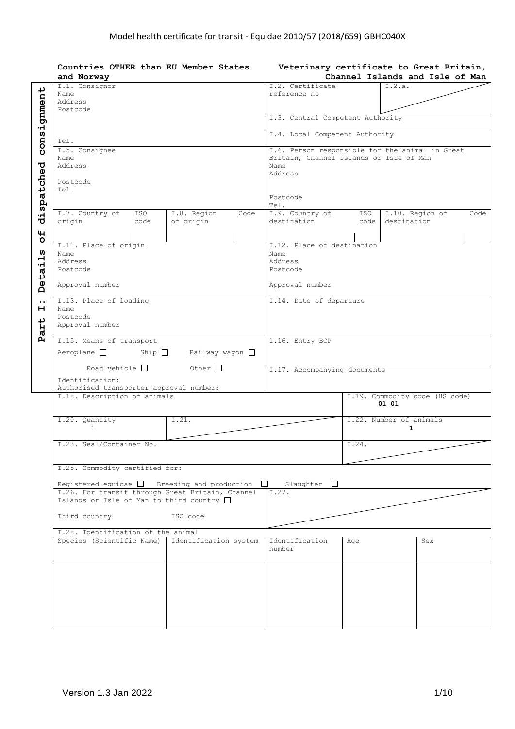| Countries OTHER than EU Member States<br>and Norway                                                                                                            |                       |                                         |       | Veterinary certificate to Great Britain,<br>Channel Islands and Isle of Man |
|----------------------------------------------------------------------------------------------------------------------------------------------------------------|-----------------------|-----------------------------------------|-------|-----------------------------------------------------------------------------|
| I.1. Consignor<br>Name                                                                                                                                         |                       | I.2. Certificate<br>reference no        |       | I.2.a.                                                                      |
| Address<br>Postcode                                                                                                                                            |                       |                                         |       |                                                                             |
|                                                                                                                                                                |                       | I.3. Central Competent Authority        |       |                                                                             |
| Tel.                                                                                                                                                           |                       | I.4. Local Competent Authority          |       |                                                                             |
| I.5. Consignee<br>Name                                                                                                                                         |                       | Britain, Channel Islands or Isle of Man |       | I.6. Person responsible for the animal in Great                             |
| Address                                                                                                                                                        |                       | Name<br>Address                         |       |                                                                             |
| Postcode<br>Tel.                                                                                                                                               |                       | Postcode                                |       |                                                                             |
| I.7. Country of<br>ISO                                                                                                                                         | I.8. Region<br>Code   | Tel.<br>I.9. Country of                 | ISO   | I.10. Region of<br>Code                                                     |
| origin<br>code                                                                                                                                                 | of origin             | destination                             | code  | destination                                                                 |
| I.11. Place of origin                                                                                                                                          |                       | I.12. Place of destination              |       |                                                                             |
| Name                                                                                                                                                           |                       | Name                                    |       |                                                                             |
| Address<br>Postcode                                                                                                                                            |                       | Address<br>Postcode                     |       |                                                                             |
| Approval number                                                                                                                                                |                       | Approval number                         |       |                                                                             |
| I.13. Place of loading<br>Name                                                                                                                                 |                       | I.14. Date of departure                 |       |                                                                             |
| Postcode<br>Approval number                                                                                                                                    |                       |                                         |       |                                                                             |
| I.15. Means of transport                                                                                                                                       |                       | 1.16. Entry BCP                         |       |                                                                             |
| $Aeroplane$ Ship $\Box$                                                                                                                                        | Railway wagon □       |                                         |       |                                                                             |
| Road vehicle $\Box$<br>Identification:                                                                                                                         | Other $\Box$          | I.17. Accompanying documents            |       |                                                                             |
| Authorised transporter approval number:<br>I.18. Description of animals                                                                                        |                       |                                         |       | I.19. Commodity code (HS code)                                              |
|                                                                                                                                                                |                       |                                         |       | 01 01                                                                       |
| I.20. Quantity<br>$\mathbf{1}$                                                                                                                                 | I.21.                 |                                         |       | I.22. Number of animals<br>1                                                |
| I.23. Seal/Container No.                                                                                                                                       |                       |                                         | T.24. |                                                                             |
|                                                                                                                                                                |                       |                                         |       |                                                                             |
| I.25. Commodity certified for:                                                                                                                                 |                       |                                         |       |                                                                             |
| Reqistered equidae $\Box$ Breeding and production $\Box$<br>I.26. For transit through Great Britain, Channel<br>Islands or Isle of Man to third country $\Box$ |                       | Slaughter $\square$<br>I.27.            |       |                                                                             |
| Third country                                                                                                                                                  | ISO code              |                                         |       |                                                                             |
| I.28. Identification of the animal                                                                                                                             |                       |                                         |       |                                                                             |
| Species (Scientific Name)                                                                                                                                      | Identification system | Identification<br>number                | Aqe   | Sex                                                                         |
|                                                                                                                                                                |                       |                                         |       |                                                                             |
|                                                                                                                                                                |                       |                                         |       |                                                                             |
|                                                                                                                                                                |                       |                                         |       |                                                                             |
|                                                                                                                                                                |                       |                                         |       |                                                                             |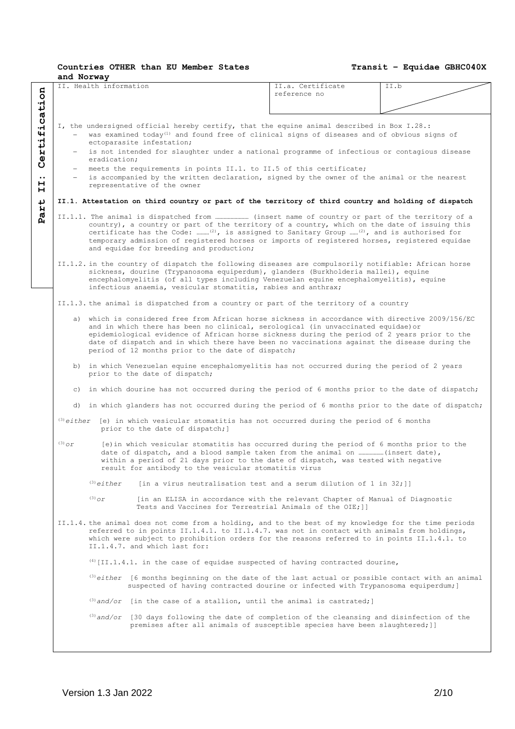|          | and Norway<br>II. Health information |                                                               | II.a. Certificate                                                                                                                                                                                                                                                                                                                                                                     | TT.b |
|----------|--------------------------------------|---------------------------------------------------------------|---------------------------------------------------------------------------------------------------------------------------------------------------------------------------------------------------------------------------------------------------------------------------------------------------------------------------------------------------------------------------------------|------|
|          |                                      |                                                               | reference no                                                                                                                                                                                                                                                                                                                                                                          |      |
|          |                                      |                                                               |                                                                                                                                                                                                                                                                                                                                                                                       |      |
|          |                                      |                                                               |                                                                                                                                                                                                                                                                                                                                                                                       |      |
|          |                                      |                                                               | I, the undersigned official hereby certify, that the equine animal described in Box I.28.:                                                                                                                                                                                                                                                                                            |      |
|          |                                      | ectoparasite infestation;                                     | was examined today <sup>(1)</sup> and found free of clinical signs of diseases and of obvious signs of                                                                                                                                                                                                                                                                                |      |
| $ -$     |                                      |                                                               | is not intended for slaughter under a national programme of infectious or contagious disease                                                                                                                                                                                                                                                                                          |      |
|          | eradication;                         |                                                               |                                                                                                                                                                                                                                                                                                                                                                                       |      |
|          |                                      |                                                               | meets the requirements in points II.1. to II.5 of this certificate;                                                                                                                                                                                                                                                                                                                   |      |
|          |                                      | representative of the owner                                   | - is accompanied by the written declaration, signed by the owner of the animal or the nearest                                                                                                                                                                                                                                                                                         |      |
|          |                                      |                                                               | II.1. Attestation on third country or part of the territory of third country and holding of dispatch                                                                                                                                                                                                                                                                                  |      |
|          |                                      |                                                               |                                                                                                                                                                                                                                                                                                                                                                                       |      |
|          |                                      | and equidae for breeding and production;                      | country), a country or part of the territory of a country, which on the date of issuing this<br>certificate has the Code: <sup>(2)</sup> , is assigned to Sanitary Group <sup>(2)</sup> , and is authorised for<br>temporary admission of registered horses or imports of registered horses, registered equidae                                                                       |      |
|          |                                      | infectious anaemia, vesicular stomatitis, rabies and anthrax; | II.1.2. in the country of dispatch the following diseases are compulsorily notifiable: African horse<br>sickness, dourine (Trypanosoma equiperdum}, qlanders (Burkholderia mallei), equine<br>encephalomyelitis (of all types including Venezuelan equine encephalomyelitis), equine                                                                                                  |      |
|          |                                      |                                                               | II.1.3. the animal is dispatched from a country or part of the territory of a country                                                                                                                                                                                                                                                                                                 |      |
|          |                                      | period of 12 months prior to the date of dispatch;            | a) which is considered free from African horse sickness in accordance with directive 2009/156/EC<br>and in which there has been no clinical, serological (in unvaccinated equidae) or<br>epidemiological evidence of African horse sickness during the period of 2 years prior to the<br>date of dispatch and in which there have been no vaccinations against the disease during the |      |
|          |                                      | prior to the date of dispatch;                                | b) in which Venezuelan equine encephalomyelitis has not occurred during the period of 2 years                                                                                                                                                                                                                                                                                         |      |
|          |                                      |                                                               | c) in which dourine has not occurred during the period of 6 months prior to the date of dispatch;                                                                                                                                                                                                                                                                                     |      |
|          |                                      |                                                               | d) in which glanders has not occurred during the period of 6 months prior to the date of dispatch;                                                                                                                                                                                                                                                                                    |      |
|          |                                      | prior to the date of dispatch; ]                              | $^{(3)}$ either [e) in which vesicular stomatitis has not occurred during the period of 6 months                                                                                                                                                                                                                                                                                      |      |
| $(3)$ Or |                                      | result for antibody to the vesicular stomatitis virus         | [e) in which vesicular stomatitis has occurred during the period of 6 months prior to the<br>date of dispatch, and a blood sample taken from the animal on  (insert date),<br>within a period of 21 days prior to the date of dispatch, was tested with negative                                                                                                                      |      |
|          | $(3)$ either                         |                                                               | [in a virus neutralisation test and a serum dilution of $1$ in $32;$ ]]                                                                                                                                                                                                                                                                                                               |      |
|          | $(3)$ Or                             |                                                               | [in an ELISA in accordance with the relevant Chapter of Manual of Diagnostic<br>Tests and Vaccines for Terrestrial Animals of the OIE; []                                                                                                                                                                                                                                             |      |
|          |                                      | II.1.4.7. and which last for:                                 | II.1.4. the animal does not come from a holding, and to the best of my knowledge for the time periods<br>referred to in points II.1.4.1. to II.1.4.7. was not in contact with animals from holdings,<br>which were subject to prohibition orders for the reasons referred to in points II.1.4.1. to                                                                                   |      |
|          |                                      |                                                               | $(4)$ [II.1.4.1. in the case of equidae suspected of having contracted dourine,                                                                                                                                                                                                                                                                                                       |      |
|          |                                      |                                                               | $^{(3)}$ either [6 months beginning on the date of the last actual or possible contact with an animal<br>suspected of having contracted dourine or infected with Trypanosoma equiperdum; ]                                                                                                                                                                                            |      |
|          |                                      |                                                               | $^{(3)}$ and/or [in the case of a stallion, until the animal is castrated;]                                                                                                                                                                                                                                                                                                           |      |
|          |                                      |                                                               | (3) and/or [30 days following the date of completion of the cleansing and disinfection of the<br>premises after all animals of susceptible species have been slaughtered; ]]                                                                                                                                                                                                          |      |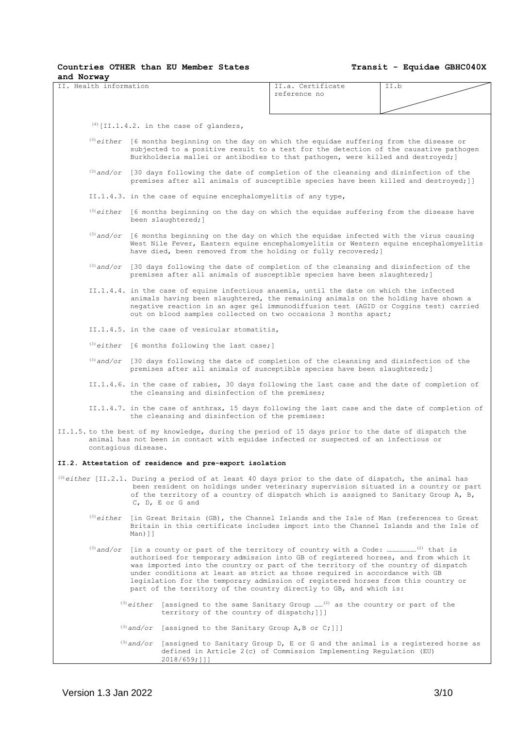**Countries OTHER than EU Member States**

| and Norway                                |                                                                                                                                                                                                                                                                                                                                                                                                                                                                                                                |                                                                                                                                                                                                                                                                               |      |  |  |
|-------------------------------------------|----------------------------------------------------------------------------------------------------------------------------------------------------------------------------------------------------------------------------------------------------------------------------------------------------------------------------------------------------------------------------------------------------------------------------------------------------------------------------------------------------------------|-------------------------------------------------------------------------------------------------------------------------------------------------------------------------------------------------------------------------------------------------------------------------------|------|--|--|
| II. Health information                    |                                                                                                                                                                                                                                                                                                                                                                                                                                                                                                                | II.a. Certificate<br>reference no                                                                                                                                                                                                                                             | II.b |  |  |
| $(4)$ [II.1.4.2. in the case of glanders, |                                                                                                                                                                                                                                                                                                                                                                                                                                                                                                                |                                                                                                                                                                                                                                                                               |      |  |  |
|                                           |                                                                                                                                                                                                                                                                                                                                                                                                                                                                                                                | $^{(3)}$ either [6 months beginning on the day on which the equidae suffering from the disease or<br>subjected to a positive result to a test for the detection of the causative pathogen<br>Burkholderia mallei or antibodies to that pathogen, were killed and destroyed; ] |      |  |  |
|                                           | $^{(3)}$ and/or [30 days following the date of completion of the cleansing and disinfection of the<br>premises after all animals of susceptible species have been killed and destroyed; ]]                                                                                                                                                                                                                                                                                                                     |                                                                                                                                                                                                                                                                               |      |  |  |
|                                           | II.1.4.3. in the case of equine encephalomyelitis of any type,                                                                                                                                                                                                                                                                                                                                                                                                                                                 |                                                                                                                                                                                                                                                                               |      |  |  |
|                                           | (3) either [6 months beginning on the day on which the equidae suffering from the disease have<br>been slaughtered; ]                                                                                                                                                                                                                                                                                                                                                                                          |                                                                                                                                                                                                                                                                               |      |  |  |
|                                           | $^{(3)}$ and/or [6 months beginning on the day on which the equidae infected with the virus causing<br>West Nile Fever, Eastern equine encephalomyelitis or Western equine encephalomyelitis<br>have died, been removed from the holding or fully recovered; ]                                                                                                                                                                                                                                                 |                                                                                                                                                                                                                                                                               |      |  |  |
|                                           | (3) and/or [30 days following the date of completion of the cleansing and disinfection of the<br>premises after all animals of susceptible species have been slaughtered; ]                                                                                                                                                                                                                                                                                                                                    |                                                                                                                                                                                                                                                                               |      |  |  |
|                                           | II.1.4.4. in the case of equine infectious anaemia, until the date on which the infected<br>animals having been slaughtered, the remaining animals on the holding have shown a<br>negative reaction in an ager gel immunodiffusion test (AGID or Coggins test) carried<br>out on blood samples collected on two occasions 3 months apart;                                                                                                                                                                      |                                                                                                                                                                                                                                                                               |      |  |  |
|                                           | II.1.4.5. in the case of vesicular stomatitis,                                                                                                                                                                                                                                                                                                                                                                                                                                                                 |                                                                                                                                                                                                                                                                               |      |  |  |
|                                           | $^{(3)}$ either [6 months following the last case;]                                                                                                                                                                                                                                                                                                                                                                                                                                                            |                                                                                                                                                                                                                                                                               |      |  |  |
|                                           | $^{(3)}$ and/or [30 days following the date of completion of the cleansing and disinfection of the<br>premises after all animals of susceptible species have been slaughtered; ]                                                                                                                                                                                                                                                                                                                               |                                                                                                                                                                                                                                                                               |      |  |  |
|                                           | II.1.4.6. in the case of rabies, 30 days following the last case and the date of completion of<br>the cleansing and disinfection of the premises;                                                                                                                                                                                                                                                                                                                                                              |                                                                                                                                                                                                                                                                               |      |  |  |
|                                           | II.1.4.7. in the case of anthrax, 15 days following the last case and the date of completion of<br>the cleansing and disinfection of the premises:                                                                                                                                                                                                                                                                                                                                                             |                                                                                                                                                                                                                                                                               |      |  |  |
|                                           | II.1.5. to the best of my knowledge, during the period of 15 days prior to the date of dispatch the<br>animal has not been in contact with equidae infected or suspected of an infectious or<br>contagious disease.                                                                                                                                                                                                                                                                                            |                                                                                                                                                                                                                                                                               |      |  |  |
|                                           | II.2. Attestation of residence and pre-export isolation                                                                                                                                                                                                                                                                                                                                                                                                                                                        |                                                                                                                                                                                                                                                                               |      |  |  |
|                                           | (3) either [II.2.1. During a period of at least 40 days prior to the date of dispatch, the animal has<br>been resident on holdings under veterinary supervision situated in a country or part<br>of the territory of a country of dispatch which is assigned to Sanitary Group A, B,<br>C, D, E or G and                                                                                                                                                                                                       |                                                                                                                                                                                                                                                                               |      |  |  |
|                                           | $^{(3)}$ either [in Great Britain (GB), the Channel Islands and the Isle of Man (references to Great<br>Britain in this certificate includes import into the Channel Islands and the Isle of<br>Man[]                                                                                                                                                                                                                                                                                                          |                                                                                                                                                                                                                                                                               |      |  |  |
|                                           | $^{(3)}$ and/or [in a county or part of the territory of country with a Code: (2) that is<br>authorised for temporary admission into GB of registered horses, and from which it<br>was imported into the country or part of the territory of the country of dispatch<br>under conditions at least as strict as those required in accordance with GB<br>legislation for the temporary admission of registered horses from this country or<br>part of the territory of the country directly to GB, and which is: |                                                                                                                                                                                                                                                                               |      |  |  |
|                                           | (3) either [assigned to the same Sanitary Group <sup>(2)</sup> as the country or part of the<br>territory of the country of dispatch; []]                                                                                                                                                                                                                                                                                                                                                                      |                                                                                                                                                                                                                                                                               |      |  |  |
|                                           | $^{(3)}$ and/or [assigned to the Sanitary Group A, B or C;]]]                                                                                                                                                                                                                                                                                                                                                                                                                                                  |                                                                                                                                                                                                                                                                               |      |  |  |
|                                           | $^{(3)}$ and/or [assigned to Sanitary Group D, E or G and the animal is a registered horse as<br>$2018/659;$ ]]]                                                                                                                                                                                                                                                                                                                                                                                               | defined in Article 2(c) of Commission Implementing Regulation (EU)                                                                                                                                                                                                            |      |  |  |
|                                           |                                                                                                                                                                                                                                                                                                                                                                                                                                                                                                                |                                                                                                                                                                                                                                                                               |      |  |  |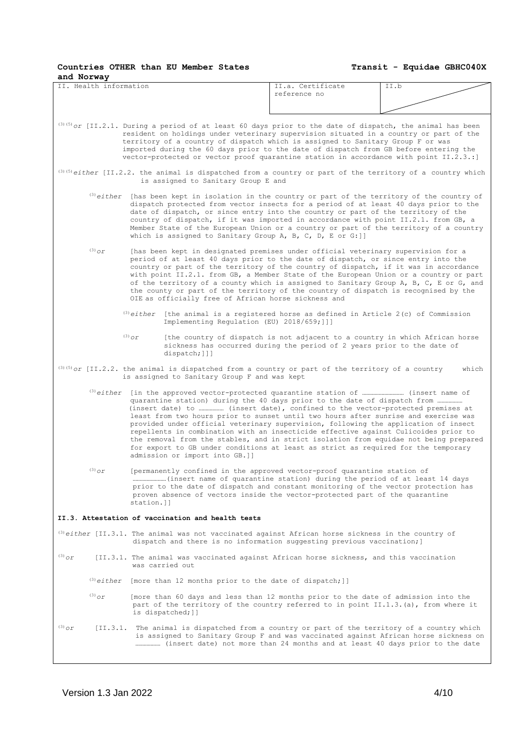| and Norway<br>II. Health information |                                                                                                                                                                                                                                                                                                                                                                                                                                                                                                                                                                                                 | II.a. Certificate                                                                                                                                       | II.b  |
|--------------------------------------|-------------------------------------------------------------------------------------------------------------------------------------------------------------------------------------------------------------------------------------------------------------------------------------------------------------------------------------------------------------------------------------------------------------------------------------------------------------------------------------------------------------------------------------------------------------------------------------------------|---------------------------------------------------------------------------------------------------------------------------------------------------------|-------|
|                                      |                                                                                                                                                                                                                                                                                                                                                                                                                                                                                                                                                                                                 | reference no                                                                                                                                            |       |
|                                      |                                                                                                                                                                                                                                                                                                                                                                                                                                                                                                                                                                                                 |                                                                                                                                                         |       |
|                                      | $^{(3)(5)}$ or [II.2.1. During a period of at least 60 days prior to the date of dispatch, the animal has been<br>resident on holdings under veterinary supervision situated in a country or part of the<br>territory of a country of dispatch which is assigned to Sanitary Group F or was<br>imported during the 60 days prior to the date of dispatch from GB before entering the<br>vector-protected or vector proof quarantine station in accordance with point II.2.3.:]                                                                                                                  |                                                                                                                                                         |       |
|                                      | $^{(3)(5)}$ either [II.2.2. the animal is dispatched from a country or part of the territory of a country which<br>is assigned to Sanitary Group E and                                                                                                                                                                                                                                                                                                                                                                                                                                          |                                                                                                                                                         |       |
|                                      | $^{(3)}$ either [has been kept in isolation in the country or part of the territory of the country of<br>dispatch protected from vector insects for a period of at least 40 days prior to the<br>date of dispatch, or since entry into the country or part of the territory of the<br>country of dispatch, if it was imported in accordance with point II.2.1. from GB, a<br>Member State of the European Union or a country or part of the territory of a country<br>which is assigned to Sanitary Group A, B, C, D, E or G: ]]                                                                |                                                                                                                                                         |       |
| $(3)$ or                             | [has been kept in designated premises under official veterinary supervision for a<br>period of at least 40 days prior to the date of dispatch, or since entry into the<br>country or part of the territory of the country of dispatch, if it was in accordance<br>with point II.2.1. from GB, a Member State of the European Union or a country or part<br>of the territory of a county which is assigned to Sanitary Group A, B, C, E or G, and<br>the county or part of the territory of the country of dispatch is recognised by the<br>OIE as officially free of African horse sickness and |                                                                                                                                                         |       |
|                                      | (3) either [the animal is a registered horse as defined in Article 2(c) of Commission<br>Implementing Regulation (EU) 2018/659;]]]                                                                                                                                                                                                                                                                                                                                                                                                                                                              |                                                                                                                                                         |       |
|                                      | $(3)$ Or<br>dispatch; []]                                                                                                                                                                                                                                                                                                                                                                                                                                                                                                                                                                       | [the country of dispatch is not adjacent to a country in which African horse<br>sickness has occurred during the period of 2 years prior to the date of |       |
|                                      | $^{(3)(5)}$ or [II.2.2. the animal is dispatched from a country or part of the territory of a country<br>is assigned to Sanitary Group F and was kept                                                                                                                                                                                                                                                                                                                                                                                                                                           |                                                                                                                                                         | which |
|                                      | quarantine station) during the 40 days prior to the date of dispatch from<br>least from two hours prior to sunset until two hours after sunrise and exercise was<br>provided under official veterinary supervision, following the application of insect<br>repellents in combination with an insecticide effective against Culicoides prior to<br>the removal from the stables, and in strict isolation from equidae not being prepared<br>for export to GB under conditions at least as strict as required for the temporary<br>admission or import into GB.]]                                 |                                                                                                                                                         |       |
| $^{(3)}$ or                          | [permanently confined in the approved vector-proof quarantine station of<br>prior to the date of dispatch and constant monitoring of the vector protection has<br>proven absence of vectors inside the vector-protected part of the quarantine<br>station.ll                                                                                                                                                                                                                                                                                                                                    |                                                                                                                                                         |       |
|                                      | II.3. Attestation of vaccination and health tests                                                                                                                                                                                                                                                                                                                                                                                                                                                                                                                                               |                                                                                                                                                         |       |
|                                      | $^{(3)}$ either [II.3.1. The animal was not vaccinated against African horse sickness in the country of<br>dispatch and there is no information suggesting previous vaccination; ]                                                                                                                                                                                                                                                                                                                                                                                                              |                                                                                                                                                         |       |
| $(3)$ Or                             | [II.3.1. The animal was vaccinated against African horse sickness, and this vaccination<br>was carried out                                                                                                                                                                                                                                                                                                                                                                                                                                                                                      |                                                                                                                                                         |       |
|                                      | (3) either [more than 12 months prior to the date of dispatch; ]]                                                                                                                                                                                                                                                                                                                                                                                                                                                                                                                               |                                                                                                                                                         |       |
| $(3)$ or                             | [more than 60 days and less than 12 months prior to the date of admission into the<br>part of the territory of the country referred to in point II.1.3.(a), from where it<br>is dispatched; ]]                                                                                                                                                                                                                                                                                                                                                                                                  |                                                                                                                                                         |       |
| $(3)$ or                             | [II.3.1. The animal is dispatched from a country or part of the territory of a country which<br>is assigned to Sanitary Group F and was vaccinated against African horse sickness on<br>(insert date) not more than 24 months and at least 40 days prior to the date                                                                                                                                                                                                                                                                                                                            |                                                                                                                                                         |       |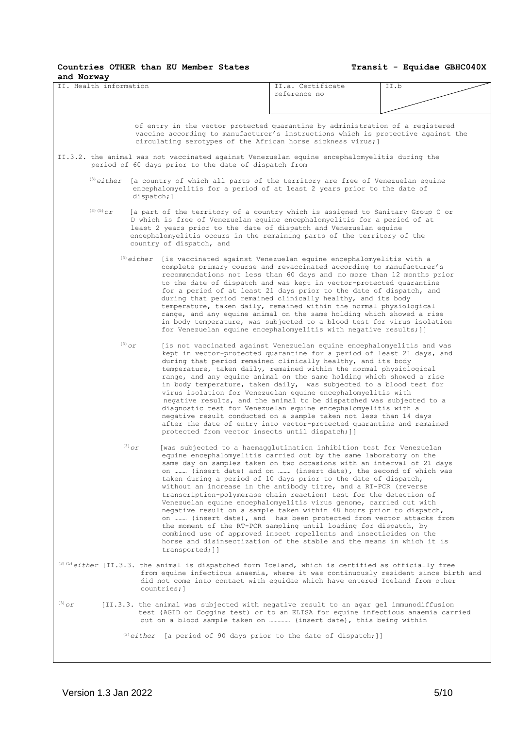# **Countries OTHER than EU Member States**

| and Norway             |             |             |                                                                                                                                                                                                                                                                                                                                         |                                                                                                                                                                                                                                                                                                                                                                                                                                                                                                                                                                                                                                                                                                                                                                                                                                                                      |      |
|------------------------|-------------|-------------|-----------------------------------------------------------------------------------------------------------------------------------------------------------------------------------------------------------------------------------------------------------------------------------------------------------------------------------------|----------------------------------------------------------------------------------------------------------------------------------------------------------------------------------------------------------------------------------------------------------------------------------------------------------------------------------------------------------------------------------------------------------------------------------------------------------------------------------------------------------------------------------------------------------------------------------------------------------------------------------------------------------------------------------------------------------------------------------------------------------------------------------------------------------------------------------------------------------------------|------|
| II. Health information |             |             |                                                                                                                                                                                                                                                                                                                                         | II.a. Certificate<br>reference no                                                                                                                                                                                                                                                                                                                                                                                                                                                                                                                                                                                                                                                                                                                                                                                                                                    | II.b |
|                        |             |             |                                                                                                                                                                                                                                                                                                                                         |                                                                                                                                                                                                                                                                                                                                                                                                                                                                                                                                                                                                                                                                                                                                                                                                                                                                      |      |
|                        |             |             |                                                                                                                                                                                                                                                                                                                                         |                                                                                                                                                                                                                                                                                                                                                                                                                                                                                                                                                                                                                                                                                                                                                                                                                                                                      |      |
|                        |             |             | of entry in the vector protected quarantine by administration of a registered<br>vaccine according to manufacturer's instructions which is protective against the<br>circulating serotypes of the African horse sickness virus; ]                                                                                                       |                                                                                                                                                                                                                                                                                                                                                                                                                                                                                                                                                                                                                                                                                                                                                                                                                                                                      |      |
|                        |             |             | II.3.2. the animal was not vaccinated against Venezuelan equine encephalomyelitis during the<br>period of 60 days prior to the date of dispatch from                                                                                                                                                                                    |                                                                                                                                                                                                                                                                                                                                                                                                                                                                                                                                                                                                                                                                                                                                                                                                                                                                      |      |
|                        |             | dispatch; ] | $^{(3)}$ either [a country of which all parts of the territory are free of Venezuelan equine<br>encephalomyelitis for a period of at least 2 years prior to the date of                                                                                                                                                                 |                                                                                                                                                                                                                                                                                                                                                                                                                                                                                                                                                                                                                                                                                                                                                                                                                                                                      |      |
|                        | $(3)(5)$ Or |             | [a part of the territory of a country which is assigned to Sanitary Group C or<br>D which is free of Venezuelan equine encephalomyelitis for a period of at<br>least 2 years prior to the date of dispatch and Venezuelan equine<br>encephalomyelitis occurs in the remaining parts of the territory of the<br>country of dispatch, and |                                                                                                                                                                                                                                                                                                                                                                                                                                                                                                                                                                                                                                                                                                                                                                                                                                                                      |      |
|                        |             |             | $^{(3)}$ either [is vaccinated against Venezuelan equine encephalomyelitis with a                                                                                                                                                                                                                                                       | complete primary course and revaccinated according to manufacturer's<br>recommendations not less than 60 days and no more than 12 months prior<br>to the date of dispatch and was kept in vector-protected quarantine<br>for a period of at least 21 days prior to the date of dispatch, and<br>during that period remained clinically healthy, and its body<br>temperature, taken daily, remained within the normal physiological<br>range, and any equine animal on the same holding which showed a rise<br>in body temperature, was subjected to a blood test for virus isolation<br>for Venezuelan equine encephalomyelitis with negative results; ]]                                                                                                                                                                                                            |      |
|                        |             | $(3)$ or    | protected from vector insects until dispatch; ]]                                                                                                                                                                                                                                                                                        | [is not vaccinated against Venezuelan equine encephalomyelitis and was<br>kept in vector-protected quarantine for a period of least 21 days, and<br>during that period remained clinically healthy, and its body<br>temperature, taken daily, remained within the normal physiological<br>range, and any equine animal on the same holding which showed a rise<br>in body temperature, taken daily, was subjected to a blood test for<br>virus isolation for Venezuelan equine encephalomyelitis with<br>negative results, and the animal to be dispatched was subjected to a<br>diagnostic test for Venezuelan equine encephalomyelitis with a<br>negative result conducted on a sample taken not less than 14 days<br>after the date of entry into vector-protected quarantine and remained                                                                        |      |
|                        |             | $(3)$ or    | [was subjected to a haemagglutination inhibition test for Venezuelan<br>transported; 11                                                                                                                                                                                                                                                 | equine encephalomyelitis carried out by the same laboratory on the<br>same day on samples taken on two occasions with an interval of 21 days<br>on  (insert date) and on  (insert date), the second of which was<br>taken during a period of 10 days prior to the date of dispatch,<br>without an increase in the antibody titre, and a RT-PCR (reverse<br>transcription-polymerase chain reaction) test for the detection of<br>Venezuelan equine encephalomyelitis virus genome, carried out with<br>negative result on a sample taken within 48 hours prior to dispatch,<br>on  (insert date), and has been protected from vector attacks from<br>the moment of the RT-PCR sampling until loading for dispatch, by<br>combined use of approved insect repellents and insecticides on the<br>horse and disinsectization of the stable and the means in which it is |      |
|                        |             |             | (3) (5) either [II.3.3. the animal is dispatched form Iceland, which is certified as officially free<br>from equine infectious anaemia, where it was continuously resident since birth and<br>did not come into contact with equidae which have entered Iceland from other<br>countries; 1                                              |                                                                                                                                                                                                                                                                                                                                                                                                                                                                                                                                                                                                                                                                                                                                                                                                                                                                      |      |
| $(3)$ Or               |             |             | [II.3.3. the animal was subjected with negative result to an agar gel immunodiffusion<br>test {AGID or Coggins test) or to an ELISA for equine infectious anaemia carried<br>out on a blood sample taken on  (insert date), this being within                                                                                           |                                                                                                                                                                                                                                                                                                                                                                                                                                                                                                                                                                                                                                                                                                                                                                                                                                                                      |      |
|                        |             |             | $^{(3)}$ either [a period of 90 days prior to the date of dispatch;]]                                                                                                                                                                                                                                                                   |                                                                                                                                                                                                                                                                                                                                                                                                                                                                                                                                                                                                                                                                                                                                                                                                                                                                      |      |
|                        |             |             |                                                                                                                                                                                                                                                                                                                                         |                                                                                                                                                                                                                                                                                                                                                                                                                                                                                                                                                                                                                                                                                                                                                                                                                                                                      |      |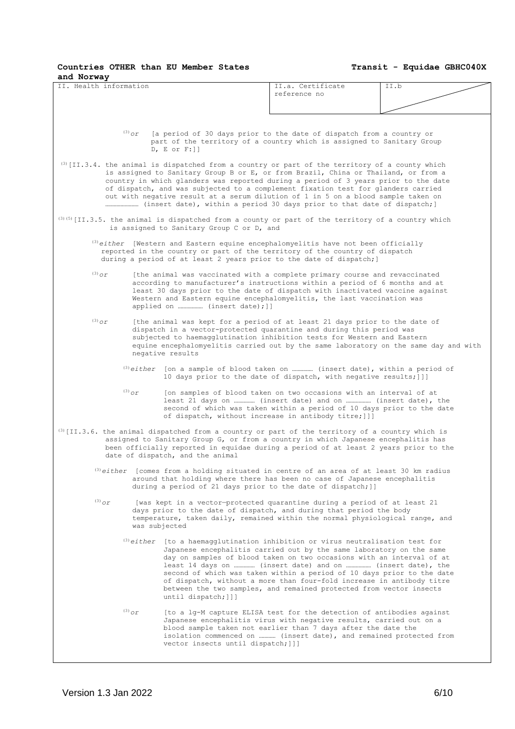| and Norway             |          |                                                                                                                                                                                                                                                                                                                                                                                                                                                        |                                                                                                                                                                                                                                                                                                                                                                                                                                       |      |
|------------------------|----------|--------------------------------------------------------------------------------------------------------------------------------------------------------------------------------------------------------------------------------------------------------------------------------------------------------------------------------------------------------------------------------------------------------------------------------------------------------|---------------------------------------------------------------------------------------------------------------------------------------------------------------------------------------------------------------------------------------------------------------------------------------------------------------------------------------------------------------------------------------------------------------------------------------|------|
| II. Health information |          |                                                                                                                                                                                                                                                                                                                                                                                                                                                        | II.a. Certificate<br>reference no                                                                                                                                                                                                                                                                                                                                                                                                     | II.b |
|                        |          |                                                                                                                                                                                                                                                                                                                                                                                                                                                        |                                                                                                                                                                                                                                                                                                                                                                                                                                       |      |
|                        | $(3)$ or | [a period of 30 days prior to the date of dispatch from a country or<br>part of the territory of a country which is assigned to Sanitary Group<br>$D, E$ or $F:$ ]]                                                                                                                                                                                                                                                                                    |                                                                                                                                                                                                                                                                                                                                                                                                                                       |      |
|                        |          | (3) [II.3.4. the animal is dispatched from a country or part of the territory of a county which<br>is assigned to Sanitary Group B or E, or from Brazil, China or Thailand, or from a<br>country in which glanders was reported during a period of 3 years prior to the date<br>of dispatch, and was subjected to a complement fixation test for glanders carried<br>out with negative result at a serum dilution of 1 in 5 on a blood sample taken on |                                                                                                                                                                                                                                                                                                                                                                                                                                       |      |
|                        |          | $^{(3)(5)}$ [II.3.5. the animal is dispatched from a county or part of the territory of a country which<br>is assigned to Sanitary Group C or D, and                                                                                                                                                                                                                                                                                                   |                                                                                                                                                                                                                                                                                                                                                                                                                                       |      |
|                        |          | $^{(3)}$ either [Western and Eastern equine encephalomyelitis have not been officially<br>reported in the country or part of the territory of the country of dispatch<br>during a period of at least 2 years prior to the date of dispatch; ]                                                                                                                                                                                                          |                                                                                                                                                                                                                                                                                                                                                                                                                                       |      |
| $(3)$ Or               |          | [the animal was vaccinated with a complete primary course and revaccinated<br>according to manufacturer's instructions within a period of 6 months and at<br>least 30 days prior to the date of dispatch with inactivated vaccine against<br>Western and Eastern equine encephalomyelitis, the last vaccination was                                                                                                                                    |                                                                                                                                                                                                                                                                                                                                                                                                                                       |      |
| $(3)$ Or               |          | [the animal was kept for a period of at least 21 days prior to the date of<br>dispatch in a vector-protected quarantine and during this period was<br>subjected to haemagglutination inhibition tests for Western and Eastern<br>equine encephalomyelitis carried out by the same laboratory on the same day and with<br>negative results                                                                                                              |                                                                                                                                                                                                                                                                                                                                                                                                                                       |      |
|                        |          | $^{(3)}$ either [on a sample of blood taken on  (insert date), within a period of                                                                                                                                                                                                                                                                                                                                                                      | 10 days prior to the date of dispatch, with negative results; ] ]]                                                                                                                                                                                                                                                                                                                                                                    |      |
|                        | $(3)$ Or |                                                                                                                                                                                                                                                                                                                                                                                                                                                        | [on samples of blood taken on two occasions with an interval of at<br>least 21 days on  (insert date) and on  (insert date), the<br>second of which was taken within a period of 10 days prior to the date<br>of dispatch, without increase in antibody titre; []]                                                                                                                                                                    |      |
|                        |          | $^{(3)}$ [II.3.6. the animal dispatched from a country or part of the territory of a country which is<br>assigned to Sanitary Group G, or from a country in which Japanese encephalitis has<br>been officially reported in equidae during a period of at least 2 years prior to the<br>date of dispatch, and the animal                                                                                                                                |                                                                                                                                                                                                                                                                                                                                                                                                                                       |      |
|                        |          | $^{(3)}$ either [comes from a holding situated in centre of an area of at least 30 km radius<br>around that holding where there has been no case of Japanese encephalitis<br>during a period of 21 days prior to the date of dispatch; ]]                                                                                                                                                                                                              |                                                                                                                                                                                                                                                                                                                                                                                                                                       |      |
| $(3)$ Or               |          | [was kept in a vector-protected quarantine during a period of at least 21<br>days prior to the date of dispatch, and during that period the body<br>temperature, taken daily, remained within the normal physiological range, and<br>was subjected                                                                                                                                                                                                     |                                                                                                                                                                                                                                                                                                                                                                                                                                       |      |
|                        |          | $^{(3)}$ either [to a haemagglutination inhibition or virus neutralisation test for<br>until dispatch; []]                                                                                                                                                                                                                                                                                                                                             | Japanese encephalitis carried out by the same laboratory on the same<br>day on samples of blood taken on two occasions with an interval of at<br>least 14 days on  (insert date) and on  (insert date), the<br>second of which was taken within a period of 10 days prior to the date<br>of dispatch, without a more than four-fold increase in antibody titre<br>between the two samples, and remained protected from vector insects |      |
|                        | $(3)$ Or | vector insects until dispatch; []]                                                                                                                                                                                                                                                                                                                                                                                                                     | [to a lg-M capture ELISA test for the detection of antibodies against<br>Japanese encephalitis virus with negative results, carried out on a<br>blood sample taken not earlier than 7 days after the date the<br>isolation commenced on  (insert date), and remained protected from                                                                                                                                                   |      |
|                        |          |                                                                                                                                                                                                                                                                                                                                                                                                                                                        |                                                                                                                                                                                                                                                                                                                                                                                                                                       |      |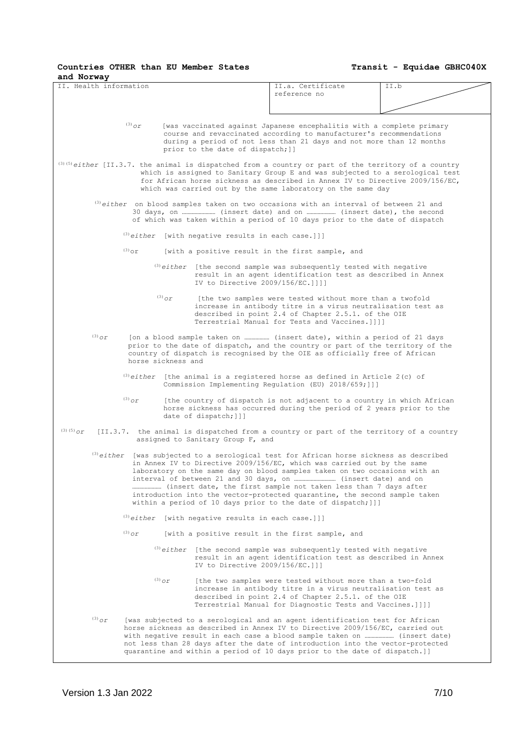# **Countries OTHER than EU Member States**

| and Norway                                                                                                 |                                                         |                                                                                                                                                                                                                                                                                                                                                                                                           |      |
|------------------------------------------------------------------------------------------------------------|---------------------------------------------------------|-----------------------------------------------------------------------------------------------------------------------------------------------------------------------------------------------------------------------------------------------------------------------------------------------------------------------------------------------------------------------------------------------------------|------|
| II. Health information                                                                                     |                                                         | II.a. Certificate<br>reference no                                                                                                                                                                                                                                                                                                                                                                         | II.b |
|                                                                                                            |                                                         |                                                                                                                                                                                                                                                                                                                                                                                                           |      |
| $(3)$ or                                                                                                   | prior to the date of dispatch; ]]                       | [was vaccinated against Japanese encephalitis with a complete primary<br>course and revaccinated according to manufacturer's recommendations<br>during a period of not less than 21 days and not more than 12 months                                                                                                                                                                                      |      |
| $^{(3)}$ (5) either [II.3.7. the animal is dispatched from a country or part of the territory of a country |                                                         | which is assigned to Sanitary Group E and was subjected to a serological test<br>for African horse sickness as described in Annex IV to Directive 2009/156/EC,<br>which was carried out by the same laboratory on the same day                                                                                                                                                                            |      |
|                                                                                                            |                                                         | $^{(3)}$ either on blood samples taken on two occasions with an interval of between 21 and<br>of which was taken within a period of 10 days prior to the date of dispatch                                                                                                                                                                                                                                 |      |
|                                                                                                            | $^{(3)}$ either [with negative results in each case.]]] |                                                                                                                                                                                                                                                                                                                                                                                                           |      |
| $(3)$ or                                                                                                   |                                                         | [with a positive result in the first sample, and                                                                                                                                                                                                                                                                                                                                                          |      |
|                                                                                                            | IV to Directive 2009/156/EC. 1111                       | $^{(3)}$ either [the second sample was subsequently tested with negative<br>result in an agent identification test as described in Annex                                                                                                                                                                                                                                                                  |      |
| $(3)$ Or                                                                                                   |                                                         | [the two samples were tested without more than a twofold<br>increase in antibody titre in a virus neutralisation test as<br>described in point 2.4 of Chapter 2.5.1. of the OIE<br>Terrestrial Manual for Tests and Vaccines. 1111                                                                                                                                                                        |      |
| $(3)$ Or<br>horse sickness and                                                                             |                                                         | prior to the date of dispatch, and the country or part of the territory of the<br>country of dispatch is recognised by the OIE as officially free of African                                                                                                                                                                                                                                              |      |
|                                                                                                            |                                                         | $^{(3)}$ either [the animal is a registered horse as defined in Article 2(c) of<br>Commission Implementing Regulation (EU) 2018/659; ]]]                                                                                                                                                                                                                                                                  |      |
| $(3)$ Or                                                                                                   | date of dispatch; []]                                   | [the country of dispatch is not adjacent to a country in which African<br>horse sickness has occurred during the period of 2 years prior to the                                                                                                                                                                                                                                                           |      |
| (3) (5) $_{\mathcal{O}\mathcal{L}}$                                                                        | assigned to Sanitary Group F, and                       | [II.3.7. the animal is dispatched from a country or part of the territory of a country                                                                                                                                                                                                                                                                                                                    |      |
|                                                                                                            |                                                         | $^{(3)}$ either [was subjected to a serological test for African horse sickness as described<br>in Annex IV to Directive 2009/156/EC, which was carried out by the same<br>laboratory on the same day on blood samples taken on two occasions with an<br>introduction into the vector-protected quarantine, the second sample taken<br>within a period of 10 days prior to the date of dispatch; []]      |      |
|                                                                                                            | $^{(3)}$ either [with negative results in each case.]]] |                                                                                                                                                                                                                                                                                                                                                                                                           |      |
| $(3)$ Or                                                                                                   |                                                         | [with a positive result in the first sample, and                                                                                                                                                                                                                                                                                                                                                          |      |
|                                                                                                            | IV to Directive $2009/156/EC.]$ ]]                      | $^{(3)}$ either [the second sample was subsequently tested with negative<br>result in an agent identification test as described in Annex                                                                                                                                                                                                                                                                  |      |
| $(3)$ Or                                                                                                   |                                                         | [the two samples were tested without more than a two-fold<br>increase in antibody titre in a virus neutralisation test as<br>described in point 2.4 of Chapter 2.5.1. of the OIE<br>Terrestrial Manual for Diagnostic Tests and Vaccines.]]]]                                                                                                                                                             |      |
| $^{(3)}$ or                                                                                                |                                                         | [was subjected to a serological and an agent identification test for African<br>horse sickness as described in Annex IV to Directive 2009/156/EC, carried out<br>with negative result in each case a blood sample taken on  (insert date)<br>not less than 28 days after the date of introduction into the vector-protected<br>quarantine and within a period of 10 days prior to the date of dispatch.]] |      |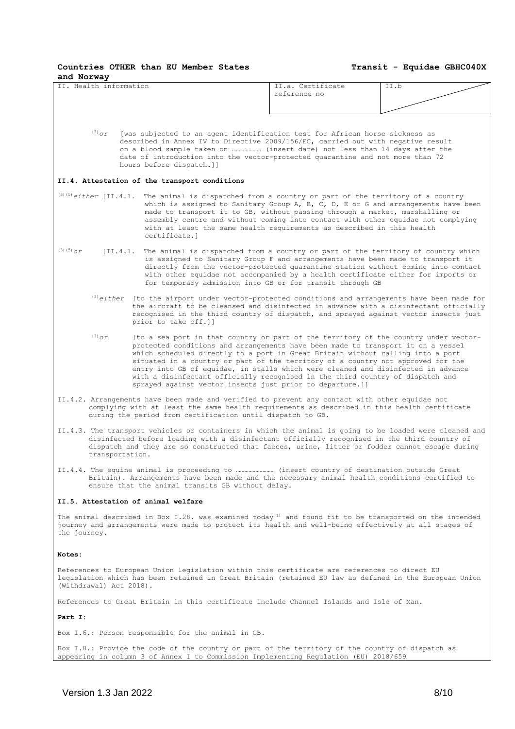**Transit - Equidae GBHC040X**

II. Health information **II.a.** Certificate reference no II.b

(3)*or* [was subjected to an agent identification test for African horse sickness as described in Annex IV to Directive 2009/156/EC, carried out with negative result on a blood sample taken on ………………… (insert date) not less than 14 days after the date of introduction into the vector-protected quarantine and not more than 72 hours before dispatch.]]

#### **II.4. Attestation of the transport conditions**

- (3)(5)*either* [II.4.1. The animal is dispatched from a country or part of the territory of a country which is assigned to Sanitary Group A, B, C, D, E or G and arrangements have been made to transport it to GB, without passing through a market, marshalling or assembly centre and without coming into contact with other equidae not complying with at least the same health requirements as described in this health certificate.]
- $(3)$ <sup>(5)</sup>) $\sigma$  [II.4.1. The animal is dispatched from a country or part of the territory of country which is assigned to Sanitary Group F and arrangements have been made to transport it directly from the vector-protected quarantine station without coming into contact with other equidae not accompanied by a health certificate either for imports or for temporary admission into GB or for transit through GB
	- (3)*either* [to the airport under vector-protected conditions and arrangements have been made for the aircraft to be cleansed and disinfected in advance with a disinfectant officially recognised in the third country of dispatch, and sprayed against vector insects just prior to take off.]]
	- $(3)$  or [to a sea port in that country or part of the territory of the country under vector protected conditions and arrangements have been made to transport it on a vessel which scheduled directly to a port in Great Britain without calling into a port situated in a country or part of the territory of a country not approved for the entry into GB of equidae, in stalls which were cleaned and disinfected in advance with a disinfectant officially recognised in the third country of dispatch and sprayed against vector insects just prior to departure.]]
- II.4.2. Arrangements have been made and verified to prevent any contact with other equidae not complying with at least the same health requirements as described in this health certificate during the period from certification until dispatch to GB.
- II.4.3. The transport vehicles or containers in which the animal is going to be loaded were cleaned and disinfected before loading with a disinfectant officially recognised in the third country of dispatch and they are so constructed that faeces, urine, litter or fodder cannot escape during transportation.
- II.4.4. The equine animal is proceeding to ……………………… (insert country of destination outside Great Britain). Arrangements have been made and the necessary animal health conditions certified to ensure that the animal transits GB without delay.

#### **II.5. Attestation of animal welfare**

The animal described in Box  $I.28$ . was examined today<sup>(1)</sup> and found fit to be transported on the intended journey and arrangements were made to protect its health and well-being effectively at all stages of the journey.

#### **Notes:**

References to European Union legislation within this certificate are references to direct EU legislation which has been retained in Great Britain (retained EU law as defined in the European Union (Withdrawal) Act 2018).

References to Great Britain in this certificate include Channel Islands and Isle of Man.

**Part I:**

Box I.6.: Person responsible for the animal in GB.

Box I.8.: Provide the code of the country or part of the territory of the country of dispatch as appearing in column 3 of Annex I to Commission Implementing Regulation (EU) 2018/659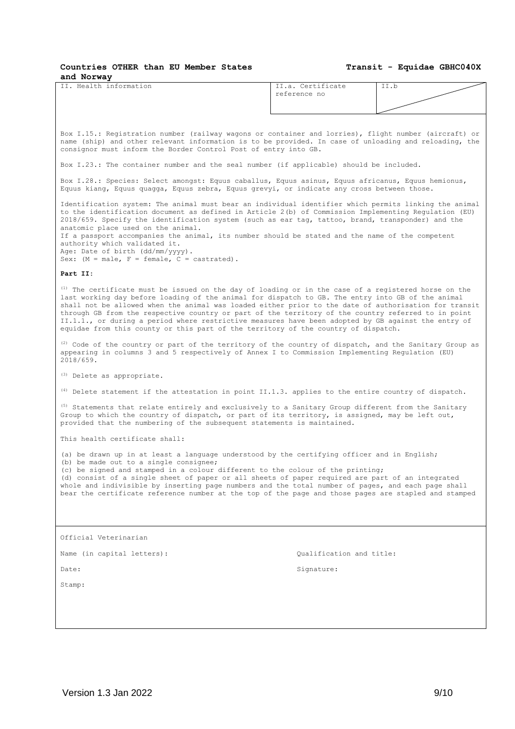| Countries OTHER than EU Member States<br>and Norway                                                                                                                                                                                                                                                                                                                                                                                                                                                                                                                                                                    |                          | Transit - Equidae GBHC040X |
|------------------------------------------------------------------------------------------------------------------------------------------------------------------------------------------------------------------------------------------------------------------------------------------------------------------------------------------------------------------------------------------------------------------------------------------------------------------------------------------------------------------------------------------------------------------------------------------------------------------------|--------------------------|----------------------------|
| IT. Health information                                                                                                                                                                                                                                                                                                                                                                                                                                                                                                                                                                                                 | II.a. Certificate        | II.b                       |
|                                                                                                                                                                                                                                                                                                                                                                                                                                                                                                                                                                                                                        | reference no             |                            |
|                                                                                                                                                                                                                                                                                                                                                                                                                                                                                                                                                                                                                        |                          |                            |
| Box I.15.: Registration number (railway wagons or container and lorries), flight number (aircraft) or<br>name (ship) and other relevant information is to be provided. In case of unloading and reloading, the<br>consignor must inform the Border Control Post of entry into GB.                                                                                                                                                                                                                                                                                                                                      |                          |                            |
| Box I.23.: The container number and the seal number (if applicable) should be included.                                                                                                                                                                                                                                                                                                                                                                                                                                                                                                                                |                          |                            |
| Box I.28.: Species: Select amongst: Equus caballus, Equus asinus, Equus africanus, Equus hemionus,<br>Equus kiang, Equus quagga, Equus zebra, Equus grevyi, or indicate any cross between those.                                                                                                                                                                                                                                                                                                                                                                                                                       |                          |                            |
| Identification system: The animal must bear an individual identifier which permits linking the animal<br>to the identification document as defined in Article 2(b) of Commission Implementing Regulation (EU)<br>2018/659. Specify the identification system (such as ear tag, tattoo, brand, transponder) and the<br>anatomic place used on the animal.<br>If a passport accompanies the animal, its number should be stated and the name of the competent<br>authority which validated it.<br>Age: Date of birth (dd/mm/yyyy).<br>Sex: $(M = male, F = female, C = castrated)$ .                                     |                          |                            |
| Part II:                                                                                                                                                                                                                                                                                                                                                                                                                                                                                                                                                                                                               |                          |                            |
| (1) The certificate must be issued on the day of loading or in the case of a registered horse on the<br>last working day before loading of the animal for dispatch to GB. The entry into GB of the animal<br>shall not be allowed when the animal was loaded either prior to the date of authorisation for transit<br>through GB from the respective country or part of the territory of the country referred to in point<br>II.1.1., or during a period where restrictive measures have been adopted by GB against the entry of<br>equidae from this county or this part of the territory of the country of dispatch. |                          |                            |
| (2) Code of the country or part of the territory of the country of dispatch, and the Sanitary Group as<br>appearing in columns 3 and 5 respectively of Annex I to Commission Implementing Regulation (EU)<br>2018/659.                                                                                                                                                                                                                                                                                                                                                                                                 |                          |                            |
| (3) Delete as appropriate.                                                                                                                                                                                                                                                                                                                                                                                                                                                                                                                                                                                             |                          |                            |
| <sup>(4)</sup> Delete statement if the attestation in point II.1.3. applies to the entire country of dispatch.                                                                                                                                                                                                                                                                                                                                                                                                                                                                                                         |                          |                            |
| $(5)$ Statements that relate entirely and exclusively to a Sanitary Group different from the Sanitary<br>Group to which the country of dispatch, or part of its territory, is assigned, may be left out,<br>provided that the numbering of the subsequent statements is maintained.                                                                                                                                                                                                                                                                                                                                    |                          |                            |
| This health certificate shall:                                                                                                                                                                                                                                                                                                                                                                                                                                                                                                                                                                                         |                          |                            |
| (a) be drawn up in at least a language understood by the certifying officer and in English;<br>(b) be made out to a single consignee;<br>(c) be signed and stamped in a colour different to the colour of the printing;<br>(d) consist of a single sheet of paper or all sheets of paper required are part of an integrated                                                                                                                                                                                                                                                                                            |                          |                            |
| whole and indivisible by inserting page numbers and the total number of pages, and each page shall<br>bear the certificate reference number at the top of the page and those pages are stapled and stamped                                                                                                                                                                                                                                                                                                                                                                                                             |                          |                            |
|                                                                                                                                                                                                                                                                                                                                                                                                                                                                                                                                                                                                                        |                          |                            |
| Official Veterinarian                                                                                                                                                                                                                                                                                                                                                                                                                                                                                                                                                                                                  |                          |                            |
| Name (in capital letters):                                                                                                                                                                                                                                                                                                                                                                                                                                                                                                                                                                                             | Qualification and title: |                            |
| Date:                                                                                                                                                                                                                                                                                                                                                                                                                                                                                                                                                                                                                  | Signature:               |                            |
| Stamp:                                                                                                                                                                                                                                                                                                                                                                                                                                                                                                                                                                                                                 |                          |                            |
|                                                                                                                                                                                                                                                                                                                                                                                                                                                                                                                                                                                                                        |                          |                            |
|                                                                                                                                                                                                                                                                                                                                                                                                                                                                                                                                                                                                                        |                          |                            |
|                                                                                                                                                                                                                                                                                                                                                                                                                                                                                                                                                                                                                        |                          |                            |